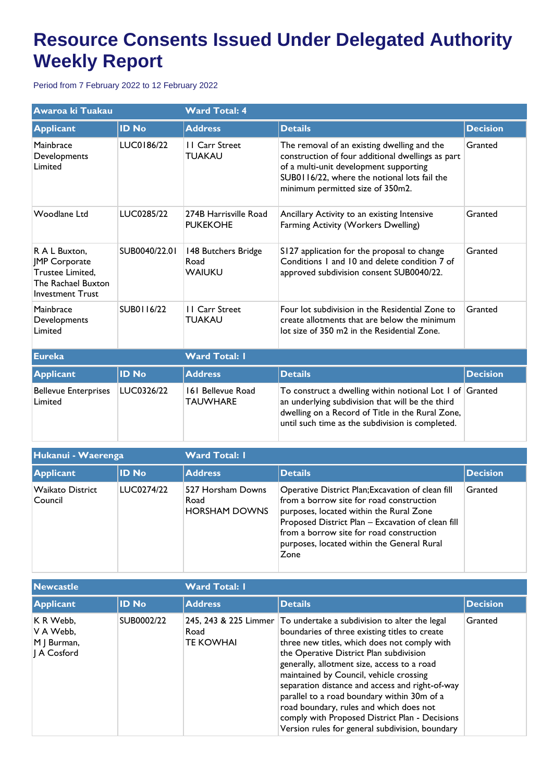## **Resource Consents Issued Under Delegated Authority Weekly Report**

Period from 7 February 2022 to 12 February 2022

| Awaroa ki Tuakau                                                                                           |               | <b>Ward Total: 4</b>                     |                                                                                                                                                                                                                                |                 |  |
|------------------------------------------------------------------------------------------------------------|---------------|------------------------------------------|--------------------------------------------------------------------------------------------------------------------------------------------------------------------------------------------------------------------------------|-----------------|--|
| <b>Applicant</b>                                                                                           | <b>ID No</b>  | <b>Address</b>                           | <b>Details</b>                                                                                                                                                                                                                 | <b>Decision</b> |  |
| Mainbrace<br>Developments<br>Limited                                                                       | LUC0186/22    | <b>II</b> Carr Street<br><b>TUAKAU</b>   | The removal of an existing dwelling and the<br>construction of four additional dwellings as part<br>of a multi-unit development supporting<br>SUB0116/22, where the notional lots fail the<br>minimum permitted size of 350m2. | Granted         |  |
| Woodlane Ltd                                                                                               | LUC0285/22    | 274B Harrisville Road<br><b>PUKEKOHE</b> | Ancillary Activity to an existing Intensive<br>Farming Activity (Workers Dwelling)                                                                                                                                             | Granted         |  |
| R A L Buxton,<br><b>JMP</b> Corporate<br>Trustee Limited,<br>The Rachael Buxton<br><b>Investment Trust</b> | SUB0040/22.01 | 148 Butchers Bridge<br>Road<br>WAIUKU    | S127 application for the proposal to change<br>Conditions I and 10 and delete condition 7 of<br>approved subdivision consent SUB0040/22.                                                                                       | Granted         |  |
| Mainbrace<br>Developments<br>Limited                                                                       | SUB0116/22    | <b>II</b> Carr Street<br><b>TUAKAU</b>   | Four lot subdivision in the Residential Zone to<br>create allotments that are below the minimum<br>lot size of 350 m2 in the Residential Zone.                                                                                 | Granted         |  |
| <b>Eureka</b>                                                                                              |               | <b>Ward Total: I</b>                     |                                                                                                                                                                                                                                |                 |  |
| <b>Applicant</b>                                                                                           | <b>ID No</b>  | <b>Address</b>                           | <b>Details</b>                                                                                                                                                                                                                 | <b>Decision</b> |  |
| <b>Bellevue Enterprises</b><br>Limited                                                                     | LUC0326/22    | 161 Bellevue Road<br><b>TAUWHARE</b>     | To construct a dwelling within notional Lot 1 of Granted<br>an underlying subdivision that will be the third<br>dwelling on a Record of Title in the Rural Zone,<br>until such time as the subdivision is completed.           |                 |  |

| Hukanui - Waerenga                 |              | <b>Ward Total: I</b>                              |                                                                                                                                                                                                                                                                                                 |                 |  |
|------------------------------------|--------------|---------------------------------------------------|-------------------------------------------------------------------------------------------------------------------------------------------------------------------------------------------------------------------------------------------------------------------------------------------------|-----------------|--|
| <b>Applicant</b>                   | <b>ID No</b> | <b>Address</b>                                    | <b>Details</b>                                                                                                                                                                                                                                                                                  | <b>Decision</b> |  |
| <b>Waikato District</b><br>Council | LUC0274/22   | 527 Horsham Downs<br>Road<br><b>HORSHAM DOWNS</b> | Operative District Plan; Excavation of clean fill<br>from a borrow site for road construction<br>purposes, located within the Rural Zone<br>Proposed District Plan - Excavation of clean fill<br>from a borrow site for road construction<br>purposes, located within the General Rural<br>Zone | Granted         |  |

| <b>Newcastle</b>                                     |              | <b>Ward Total: I</b>     |                                                                                                                                                                                                                                                                                                                                                                                                                                                                                                                                                             |                 |  |
|------------------------------------------------------|--------------|--------------------------|-------------------------------------------------------------------------------------------------------------------------------------------------------------------------------------------------------------------------------------------------------------------------------------------------------------------------------------------------------------------------------------------------------------------------------------------------------------------------------------------------------------------------------------------------------------|-----------------|--|
| <b>Applicant</b>                                     | <b>ID No</b> | <b>Address</b>           | <b>Details</b>                                                                                                                                                                                                                                                                                                                                                                                                                                                                                                                                              | <b>Decision</b> |  |
| K R Webb,<br>V A Webb,<br>M   Burman,<br>  A Cosford | SUB0002/22   | Road<br><b>TE KOWHAI</b> | 245, 243 & 225 Limmer To undertake a subdivision to alter the legal<br>boundaries of three existing titles to create<br>three new titles, which does not comply with<br>the Operative District Plan subdivision<br>generally, allotment size, access to a road<br>maintained by Council, vehicle crossing<br>separation distance and access and right-of-way<br>parallel to a road boundary within 30m of a<br>road boundary, rules and which does not<br>comply with Proposed District Plan - Decisions<br>Version rules for general subdivision, boundary | Granted         |  |